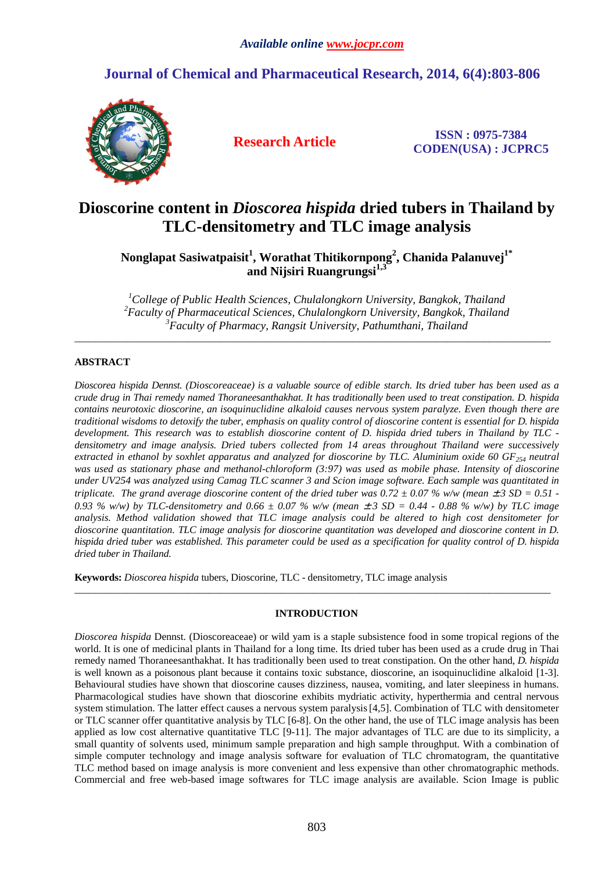# **Journal of Chemical and Pharmaceutical Research, 2014, 6(4):803-806**



**Research Article ISSN : 0975-7384 CODEN(USA) : JCPRC5**

# **Dioscorine content in** *Dioscorea hispida* **dried tubers in Thailand by TLC-densitometry and TLC image analysis**

**Nonglapat Sasiwatpaisit<sup>1</sup> , Worathat Thitikornpong<sup>2</sup> , Chanida Palanuvej1\* and Nijsiri Ruangrungsi1,3** 

*<sup>1</sup>College of Public Health Sciences, Chulalongkorn University, Bangkok, Thailand <sup>2</sup>Faculty of Pharmaceutical Sciences, Chulalongkorn University, Bangkok, Thailand <sup>3</sup>Faculty of Pharmacy, Rangsit University, Pathumthani, Thailand* 

 $\overline{\phantom{a}}$  , and the set of the set of the set of the set of the set of the set of the set of the set of the set of the set of the set of the set of the set of the set of the set of the set of the set of the set of the s

### **ABSTRACT**

*Dioscorea hispida Dennst. (Dioscoreaceae) is a valuable source of edible starch. Its dried tuber has been used as a crude drug in Thai remedy named Thoraneesanthakhat. It has traditionally been used to treat constipation. D. hispida contains neurotoxic dioscorine, an isoquinuclidine alkaloid causes nervous system paralyze. Even though there are traditional wisdoms to detoxify the tuber, emphasis on quality control of dioscorine content is essential for D. hispida development. This research was to establish dioscorine content of D. hispida dried tubers in Thailand by TLC densitometry and image analysis. Dried tubers collected from 14 areas throughout Thailand were successively extracted in ethanol by soxhlet apparatus and analyzed for dioscorine by TLC. Aluminium oxide 60 GF254 neutral*  was used as stationary phase and methanol-chloroform (3:97) was used as mobile phase. Intensity of dioscorine *under UV254 was analyzed using Camag TLC scanner 3 and Scion image software. Each sample was quantitated in triplicate. The grand average dioscorine content of the dried tuber was*  $0.72 \pm 0.07$  *% w/w (mean*  $\pm 3$  *SD = 0.51 -*0.93 % w/w) by TLC-densitometry and 0.66  $\pm$  0.07 % w/w (mean  $\pm$  3 SD = 0.44 - 0.88 % w/w) by TLC image *analysis. Method validation showed that TLC image analysis could be altered to high cost densitometer for dioscorine quantitation. TLC image analysis for dioscorine quantitation was developed and dioscorine content in D. hispida dried tuber was established. This parameter could be used as a specification for quality control of D. hispida dried tuber in Thailand.* 

**Keywords:** *Dioscorea hispida* tubers, Dioscorine, TLC - densitometry, TLC image analysis

## **INTRODUCTION**

 $\overline{\phantom{a}}$  , and the set of the set of the set of the set of the set of the set of the set of the set of the set of the set of the set of the set of the set of the set of the set of the set of the set of the set of the s

*Dioscorea hispida* Dennst. (Dioscoreaceae) or wild yam is a staple subsistence food in some tropical regions of the world. It is one of medicinal plants in Thailand for a long time. Its dried tuber has been used as a crude drug in Thai remedy named Thoraneesanthakhat. It has traditionally been used to treat constipation. On the other hand, *D. hispida* is well known as a poisonous plant because it contains toxic substance, dioscorine, an isoquinuclidine alkaloid [1-3]. Behavioural studies have shown that dioscorine causes dizziness, nausea, vomiting, and later sleepiness in humans. Pharmacological studies have shown that dioscorine exhibits mydriatic activity, hyperthermia and central nervous system stimulation. The latter effect causes a nervous system paralysis [4,5]. Combination of TLC with densitometer or TLC scanner offer quantitative analysis by TLC [6-8]. On the other hand, the use of TLC image analysis has been applied as low cost alternative quantitative TLC [9-11]. The major advantages of TLC are due to its simplicity, a small quantity of solvents used, minimum sample preparation and high sample throughput. With a combination of simple computer technology and image analysis software for evaluation of TLC chromatogram, the quantitative TLC method based on image analysis is more convenient and less expensive than other chromatographic methods. Commercial and free web-based image softwares for TLC image analysis are available. Scion Image is public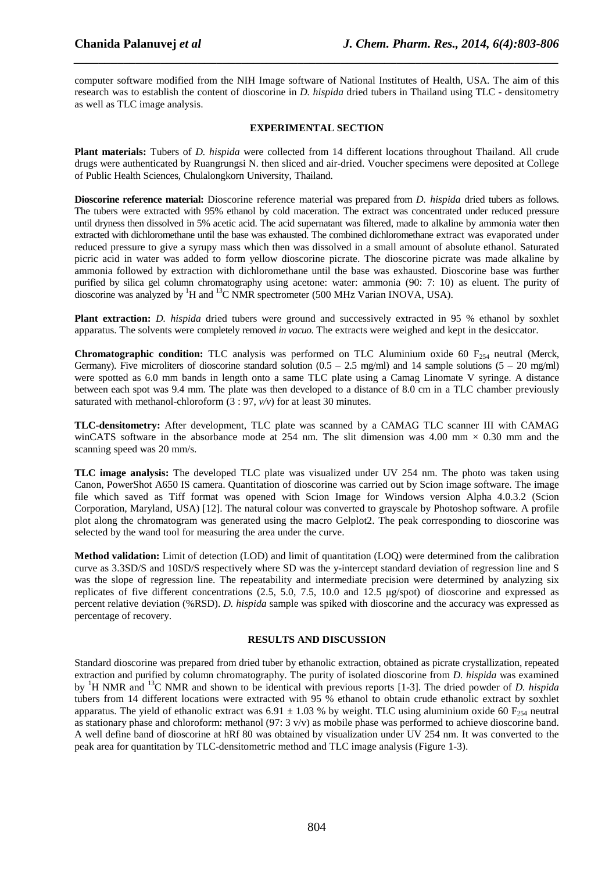computer software modified from the NIH Image software of National Institutes of Health, USA. The aim of this research was to establish the content of dioscorine in *D. hispida* dried tubers in Thailand using TLC - densitometry as well as TLC image analysis.

*\_\_\_\_\_\_\_\_\_\_\_\_\_\_\_\_\_\_\_\_\_\_\_\_\_\_\_\_\_\_\_\_\_\_\_\_\_\_\_\_\_\_\_\_\_\_\_\_\_\_\_\_\_\_\_\_\_\_\_\_\_\_\_\_\_\_\_\_\_\_\_\_\_\_\_\_\_\_*

#### **EXPERIMENTAL SECTION**

**Plant materials:** Tubers of *D. hispida* were collected from 14 different locations throughout Thailand. All crude drugs were authenticated by Ruangrungsi N. then sliced and air-dried. Voucher specimens were deposited at College of Public Health Sciences, Chulalongkorn University, Thailand.

**Dioscorine reference material:** Dioscorine reference material was prepared from *D. hispida* dried tubers as follows. The tubers were extracted with 95% ethanol by cold maceration. The extract was concentrated under reduced pressure until dryness then dissolved in 5% acetic acid. The acid supernatant was filtered, made to alkaline by ammonia water then extracted with dichloromethane until the base was exhausted. The combined dichloromethane extract was evaporated under reduced pressure to give a syrupy mass which then was dissolved in a small amount of absolute ethanol. Saturated picric acid in water was added to form yellow dioscorine picrate. The dioscorine picrate was made alkaline by ammonia followed by extraction with dichloromethane until the base was exhausted. Dioscorine base was further purified by silica gel column chromatography using acetone: water: ammonia (90: 7: 10) as eluent. The purity of dioscorine was analyzed by <sup>1</sup>H and <sup>13</sup>C NMR spectrometer (500 MHz Varian INOVA, USA).

**Plant extraction:** *D. hispida* dried tubers were ground and successively extracted in 95 % ethanol by soxhlet apparatus. The solvents were completely removed *in vacuo*. The extracts were weighed and kept in the desiccator.

**Chromatographic condition:** TLC analysis was performed on TLC Aluminium oxide 60  $F_{254}$  neutral (Merck, Germany). Five microliters of dioscorine standard solution  $(0.5 - 2.5 \text{ mg/ml})$  and 14 sample solutions  $(5 - 20 \text{ mg/ml})$ were spotted as 6.0 mm bands in length onto a same TLC plate using a Camag Linomate V syringe. A distance between each spot was 9.4 mm. The plate was then developed to a distance of 8.0 cm in a TLC chamber previously saturated with methanol-chloroform (3 : 97, *v/v*) for at least 30 minutes.

**TLC-densitometry:** After development, TLC plate was scanned by a CAMAG TLC scanner III with CAMAG winCATS software in the absorbance mode at 254 nm. The slit dimension was 4.00 mm  $\times$  0.30 mm and the scanning speed was 20 mm/s.

**TLC image analysis:** The developed TLC plate was visualized under UV 254 nm. The photo was taken using Canon, PowerShot A650 IS camera. Quantitation of dioscorine was carried out by Scion image software. The image file which saved as Tiff format was opened with Scion Image for Windows version Alpha 4.0.3.2 (Scion Corporation, Maryland, USA) [12]. The natural colour was converted to grayscale by Photoshop software. A profile plot along the chromatogram was generated using the macro Gelplot2. The peak corresponding to dioscorine was selected by the wand tool for measuring the area under the curve.

**Method validation:** Limit of detection (LOD) and limit of quantitation (LOQ) were determined from the calibration curve as 3.3SD/S and 10SD/S respectively where SD was the y-intercept standard deviation of regression line and S was the slope of regression line. The repeatability and intermediate precision were determined by analyzing six replicates of five different concentrations (2.5, 5.0, 7.5, 10.0 and 12.5 µg/spot) of dioscorine and expressed as percent relative deviation (%RSD). *D. hispida* sample was spiked with dioscorine and the accuracy was expressed as percentage of recovery.

#### **RESULTS AND DISCUSSION**

Standard dioscorine was prepared from dried tuber by ethanolic extraction, obtained as picrate crystallization, repeated extraction and purified by column chromatography. The purity of isolated dioscorine from *D. hispida* was examined by <sup>1</sup>H NMR and <sup>13</sup>C NMR and shown to be identical with previous reports [1-3]. The dried powder of *D. hispida*  tubers from 14 different locations were extracted with 95 % ethanol to obtain crude ethanolic extract by soxhlet apparatus. The yield of ethanolic extract was 6.91  $\pm$  1.03 % by weight. TLC using aluminium oxide 60 F<sub>254</sub> neutral as stationary phase and chloroform: methanol (97:  $3 \text{ y/y}$ ) as mobile phase was performed to achieve dioscorine band. A well define band of dioscorine at hRf 80 was obtained by visualization under UV 254 nm. It was converted to the peak area for quantitation by TLC-densitometric method and TLC image analysis (Figure 1-3).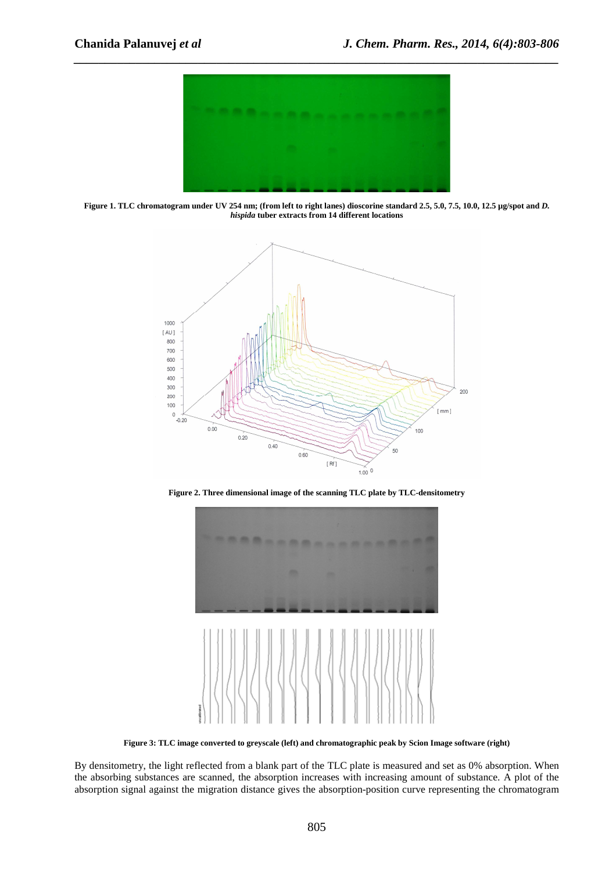

*\_\_\_\_\_\_\_\_\_\_\_\_\_\_\_\_\_\_\_\_\_\_\_\_\_\_\_\_\_\_\_\_\_\_\_\_\_\_\_\_\_\_\_\_\_\_\_\_\_\_\_\_\_\_\_\_\_\_\_\_\_\_\_\_\_\_\_\_\_\_\_\_\_\_\_\_\_\_*

**Figure 1. TLC chromatogram under UV 254 nm; (from left to right lanes) dioscorine standard 2.5, 5.0, 7.5, 10.0, 12.5 µg/spot and** *D. hispida* **tuber extracts from 14 different locations** 



**Figure 2. Three dimensional image of the scanning TLC plate by TLC-densitometry** 



**Figure 3: TLC image converted to greyscale (left) and chromatographic peak by Scion Image software (right)** 

By densitometry, the light reflected from a blank part of the TLC plate is measured and set as 0% absorption. When the absorbing substances are scanned, the absorption increases with increasing amount of substance. A plot of the absorption signal against the migration distance gives the absorption-position curve representing the chromatogram